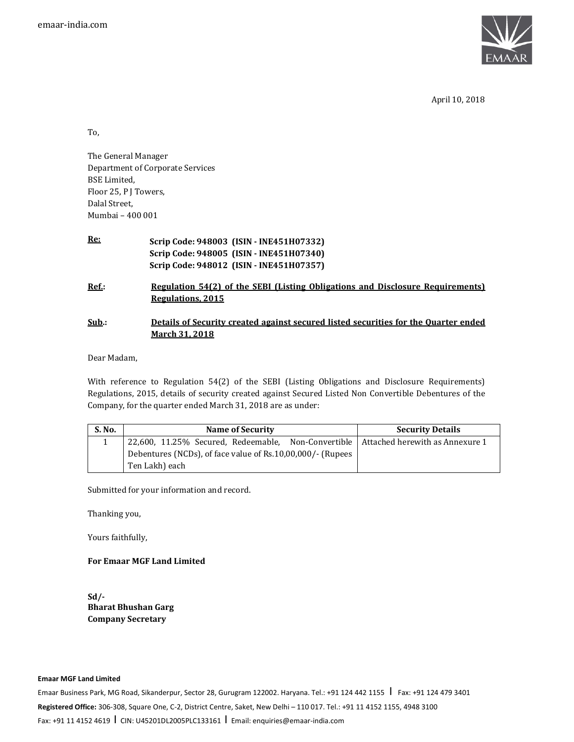

April 10, 2018

To,

The General Manager Department of Corporate Services BSE Limited, Floor 25, P J Towers, Dalal Street, Mumbai – 400 001

| Re:      | Scrip Code: 948003 (ISIN - INE451H07332)                                                                            |
|----------|---------------------------------------------------------------------------------------------------------------------|
|          | Scrip Code: 948005 (ISIN - INE451H07340)                                                                            |
|          | Scrip Code: 948012 (ISIN - INE451H07357)                                                                            |
| Ref.:    | <u>Regulation 54(2) of the SEBI (Listing Obligations and Disclosure Requirements)</u><br>Regulations, 2015          |
| $Sub.$ : | <u>Details of Security created against secured listed securities for the Quarter ended</u><br><b>March 31, 2018</b> |

Dear Madam,

With reference to Regulation 54(2) of the SEBI (Listing Obligations and Disclosure Requirements) Regulations, 2015, details of security created against Secured Listed Non Convertible Debentures of the Company, for the quarter ended March 31, 2018 are as under:

| <b>S. No.</b> | Name of Security                                                                      | <b>Security Details</b> |
|---------------|---------------------------------------------------------------------------------------|-------------------------|
|               | 22,600, 11.25% Secured, Redeemable, Non-Convertible   Attached herewith as Annexure 1 |                         |
|               | Debentures (NCDs), of face value of Rs.10,00,000/- (Rupees                            |                         |
|               | Ten Lakh) each                                                                        |                         |

Submitted for your information and record.

Thanking you,

Yours faithfully,

## **For Emaar MGF Land Limited**

**Sd/- Bharat Bhushan Garg Company Secretary**

## **Emaar MGF Land Limited**

Emaar Business Park, MG Road, Sikanderpur, Sector 28, Gurugram 122002. Haryana. Tel.: +91 124 442 1155 | Fax: +91 124 479 3401 **Registered Office:** 306-308, Square One, C-2, District Centre, Saket, New Delhi – 110 017. Tel.: +91 11 4152 1155, 4948 3100 Fax: +91 11 4152 4619 I CIN: U45201DL2005PLC133161 I Email: enquiries@emaar-india.com